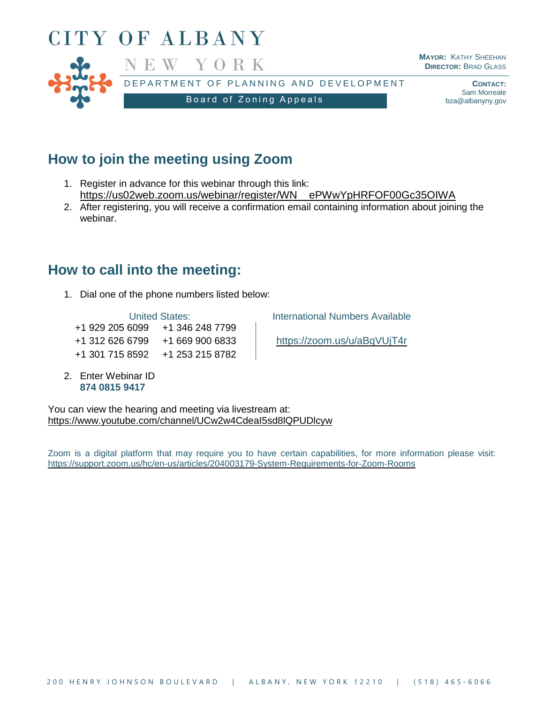

# **How to join the meeting using Zoom**

- 1. Register in advance for this webinar through this link: [https://us02web.zoom.us/webinar/register/WN\\_\\_ePWwYpHRFOF00Gc35OIWA](https://us02web.zoom.us/webinar/register/WN__ePWwYpHRFOF00Gc35OIWA)
- 2. After registering, you will receive a confirmation email containing information about joining the webinar.

## **How to call into the meeting:**

1. Dial one of the phone numbers listed below:

+1 929 205 6099 +1 346 248 7799 +1 312 626 6799 +1 669 900 6833 <https://zoom.us/u/aBqVUjT4r> +1 301 715 8592 +1 253 215 8782

2. Enter Webinar ID **874 0815 9417**

United States: **International Numbers Available** 

You can view the hearing and meeting via livestream at: <https://www.youtube.com/channel/UCw2w4CdeaI5sd8lQPUDlcyw>

Zoom is a digital platform that may require you to have certain capabilities, for more information please visit: <https://support.zoom.us/hc/en-us/articles/204003179-System-Requirements-for-Zoom-Rooms>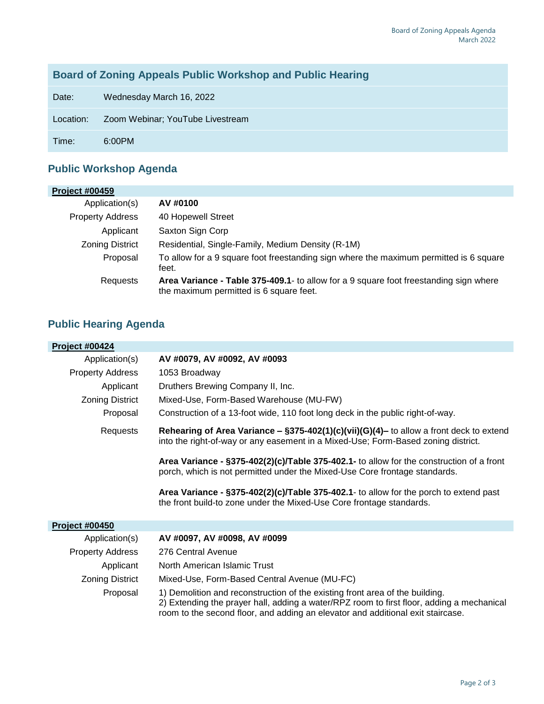### **Board of Zoning Appeals Public Workshop and Public Hearing**

Date: Wednesday March 16, 2022

Location: Zoom Webinar; YouTube Livestream

Time: 6:00PM

### **Public Workshop Agenda**

| <b>Project #00459</b>   |                                                                                                                                   |
|-------------------------|-----------------------------------------------------------------------------------------------------------------------------------|
| Application(s)          | AV #0100                                                                                                                          |
| <b>Property Address</b> | 40 Hopewell Street                                                                                                                |
| Applicant               | Saxton Sign Corp                                                                                                                  |
| <b>Zoning District</b>  | Residential, Single-Family, Medium Density (R-1M)                                                                                 |
| Proposal                | To allow for a 9 square foot freestanding sign where the maximum permitted is 6 square<br>feet.                                   |
| Requests                | Area Variance - Table 375-409.1 - to allow for a 9 square foot freestanding sign where<br>the maximum permitted is 6 square feet. |

### **Public Hearing Agenda**

| <b>Project #00424</b>   |                                                                                                                                                                                                                                                              |
|-------------------------|--------------------------------------------------------------------------------------------------------------------------------------------------------------------------------------------------------------------------------------------------------------|
| Application(s)          | AV #0079, AV #0092, AV #0093                                                                                                                                                                                                                                 |
| <b>Property Address</b> | 1053 Broadway                                                                                                                                                                                                                                                |
| Applicant               | Druthers Brewing Company II, Inc.                                                                                                                                                                                                                            |
| <b>Zoning District</b>  | Mixed-Use, Form-Based Warehouse (MU-FW)                                                                                                                                                                                                                      |
| Proposal                | Construction of a 13-foot wide, 110 foot long deck in the public right-of-way.                                                                                                                                                                               |
| Requests                | Rehearing of Area Variance - $\S375-402(1)(c)(vii)(G)(4)$ - to allow a front deck to extend<br>into the right-of-way or any easement in a Mixed-Use; Form-Based zoning district.                                                                             |
|                         | Area Variance - §375-402(2)(c)/Table 375-402.1- to allow for the construction of a front<br>porch, which is not permitted under the Mixed-Use Core frontage standards.                                                                                       |
|                         | Area Variance - $\S 375-402(2)(c)/Table 375-402.1$ - to allow for the porch to extend past<br>the front build-to zone under the Mixed-Use Core frontage standards.                                                                                           |
| <b>Project #00450</b>   |                                                                                                                                                                                                                                                              |
| Application(s)          | AV #0097, AV #0098, AV #0099                                                                                                                                                                                                                                 |
| <b>Property Address</b> | 276 Central Avenue                                                                                                                                                                                                                                           |
| Applicant               | North American Islamic Trust                                                                                                                                                                                                                                 |
| <b>Zoning District</b>  | Mixed-Use, Form-Based Central Avenue (MU-FC)                                                                                                                                                                                                                 |
| Proposal                | 1) Demolition and reconstruction of the existing front area of the building.<br>2) Extending the prayer hall, adding a water/RPZ room to first floor, adding a mechanical<br>room to the second floor, and adding an elevator and additional exit staircase. |